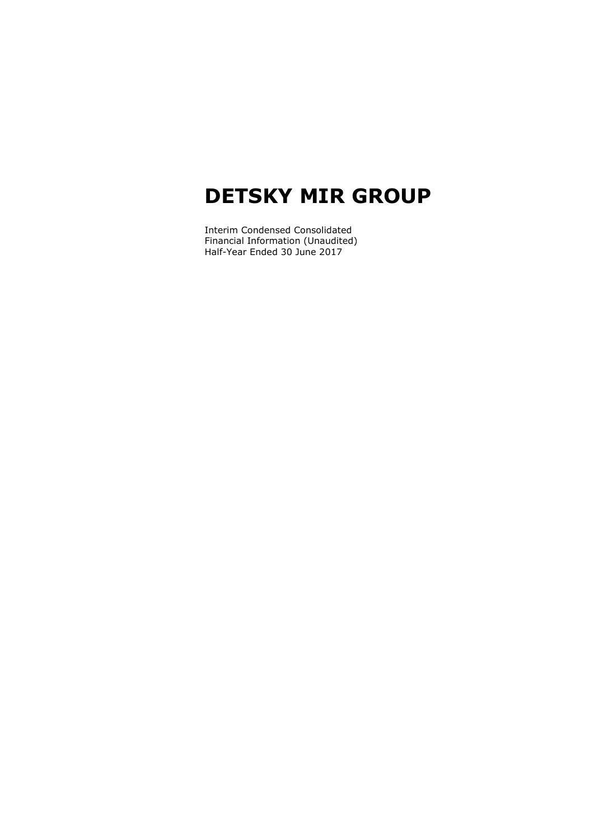Interim Condensed Consolidated Financial Information (Unaudited) Half-Year Ended 30 June 2017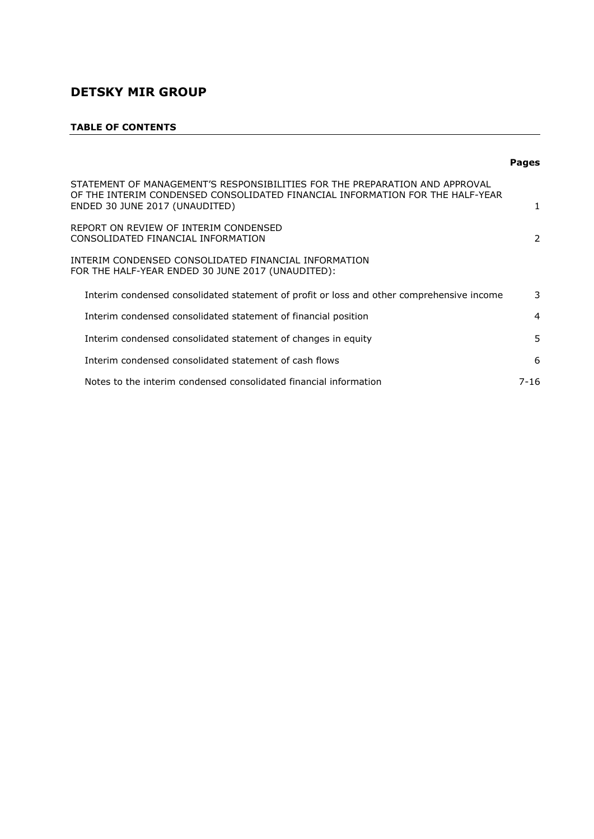# **TABLE OF CONTENTS**

|                                                                                                                                                                                                | <b>Pages</b>   |
|------------------------------------------------------------------------------------------------------------------------------------------------------------------------------------------------|----------------|
| STATEMENT OF MANAGEMENT'S RESPONSIBILITIES FOR THE PREPARATION AND APPROVAL<br>OF THE INTERIM CONDENSED CONSOLIDATED FINANCIAL INFORMATION FOR THE HALF-YEAR<br>ENDED 30 JUNE 2017 (UNAUDITED) |                |
| REPORT ON REVIEW OF INTERIM CONDENSED<br>CONSOLIDATED FINANCIAL INFORMATION                                                                                                                    | 2              |
| INTERIM CONDENSED CONSOLIDATED FINANCIAL INFORMATION<br>FOR THE HALF-YEAR ENDED 30 JUNE 2017 (UNAUDITED):                                                                                      |                |
| Interim condensed consolidated statement of profit or loss and other comprehensive income                                                                                                      | 3              |
| Interim condensed consolidated statement of financial position                                                                                                                                 | $\overline{4}$ |
| Interim condensed consolidated statement of changes in equity                                                                                                                                  | 5              |
| Interim condensed consolidated statement of cash flows                                                                                                                                         | 6              |
| Notes to the interim condensed consolidated financial information                                                                                                                              | $7 - 16$       |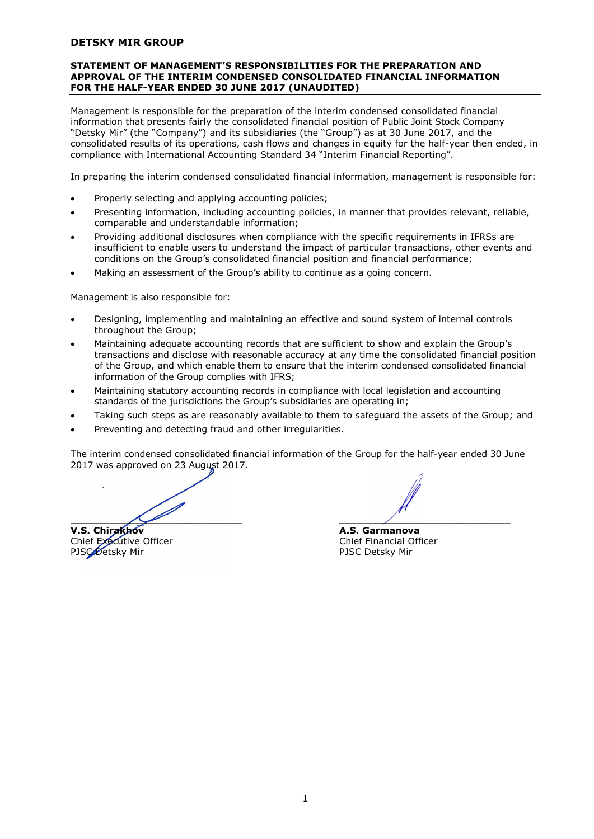#### **STATEMENT OF MANAGEMENT'S RESPONSIBILITIES FOR THE PREPARATION AND APPROVAL OF THE INTERIM CONDENSED CONSOLIDATED FINANCIAL INFORMATION FOR THE HALF-YEAR ENDED 30 JUNE 2017 (UNAUDITED)**

Management is responsible for the preparation of the interim condensed consolidated financial information that presents fairly the consolidated financial position of Public Joint Stock Company "Detsky Mir" (the "Company") and its subsidiaries (the "Group") as at 30 June 2017, and the consolidated results of its operations, cash flows and changes in equity for the half-year then ended, in compliance with International Accounting Standard 34 "Interim Financial Reporting".

In preparing the interim condensed consolidated financial information, management is responsible for:

- Properly selecting and applying accounting policies;
- Presenting information, including accounting policies, in manner that provides relevant, reliable, comparable and understandable information;
- Providing additional disclosures when compliance with the specific requirements in IFRSs are insufficient to enable users to understand the impact of particular transactions, other events and conditions on the Group's consolidated financial position and financial performance;
- Making an assessment of the Group's ability to continue as a going concern.

Management is also responsible for:

- Designing, implementing and maintaining an effective and sound system of internal controls throughout the Group;
- Maintaining adequate accounting records that are sufficient to show and explain the Group's transactions and disclose with reasonable accuracy at any time the consolidated financial position of the Group, and which enable them to ensure that the interim condensed consolidated financial information of the Group complies with IFRS;
- Maintaining statutory accounting records in compliance with local legislation and accounting standards of the jurisdictions the Group's subsidiaries are operating in;
- Taking such steps as are reasonably available to them to safeguard the assets of the Group; and
- Preventing and detecting fraud and other irregularities.

The interim condensed consolidated financial information of the Group for the half-year ended 30 June 2017 was approved on 23 August 2017.

 $\overline{\phantom{a}}$ 

Chief Executive Officer PJSC Detsky Mir **PJSC Detsky Mir** 

**V.S. Chirakhov A.S. Garmanova**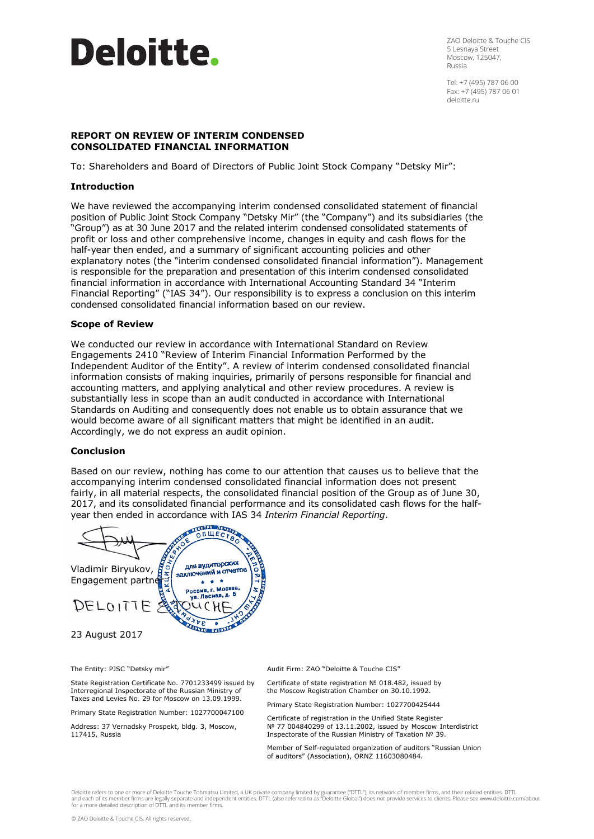

ZAO Deloitte & Touche CIS 5 Lesnaya Street Moscow, 125047, Russia

Tel: +7 (495) 787 06 00 Fax: +7 (495) 787 06 01 deloitte.ru

#### **REPORT ON REVIEW OF INTERIM CONDENSED CONSOLIDATED FINANCIAL INFORMATION**

To: Shareholders and Board of Directors of Public Joint Stock Company "Detsky Mir":

# **Introduction**

We have reviewed the accompanying interim condensed consolidated statement of financial position of Public Joint Stock Company "Detsky Mir" (the "Company") and its subsidiaries (the "Group") as at 30 June 2017 and the related interim condensed consolidated statements of profit or loss and other comprehensive income, changes in equity and cash flows for the half-year then ended, and a summary of significant accounting policies and other explanatory notes (the "interim condensed consolidated financial information"). Management is responsible for the preparation and presentation of this interim condensed consolidated financial information in accordance with International Accounting Standard 34 "Interim Financial Reporting" ("IAS 34"). Our responsibility is to express a conclusion on this interim condensed consolidated financial information based on our review.

#### **Scope of Review**

We conducted our review in accordance with International Standard on Review Engagements 2410 "Review of Interim Financial Information Performed by the Independent Auditor of the Entity". A review of interim condensed consolidated financial information consists of making inquiries, primarily of persons responsible for financial and accounting matters, and applying analytical and other review procedures. A review is substantially less in scope than an audit conducted in accordance with International Standards on Auditing and consequently does not enable us to obtain assurance that we would become aware of all significant matters that might be identified in an audit. Accordingly, we do not express an audit opinion.

#### **Conclusion**

Based on our review, nothing has come to our attention that causes us to believe that the accompanying interim condensed consolidated financial information does not present fairly, in all material respects, the consolidated financial position of the Group as of June 30, 2017, and its consolidated financial performance and its consolidated cash flows for the halfyear then ended in accordance with IAS 34 *Interim Financial Reporting*.

**DEGLE DE DE** для аудиторских Vladimir Biryukov, для аудиторый Engagement partner  $\alpha$  ,  $\alpha$  ,  $\alpha$ Poccus, r. Mockee,  $DELOITIF$  $V<sub>0</sub>$ **EXTERNAL STATE** 23 August 2017

The Entity: PJSC "Detsky mir"

State Registration Certificate No. 7701233499 issued by Interregional Inspectorate of the Russian Ministry of Taxes and Levies No. 29 for Moscow on 13.09.1999.

Primary State Registration Number: 1027700047100

Address: 37 Vernadsky Prospekt, bldg. 3, Moscow, 117415, Russia

Audit Firm: ZAO "Deloitte & Touche CIS"

Certificate of state registration № 018.482, issued by the Moscow Registration Chamber on 30.10.1992.

Primary State Registration Number: 1027700425444

Certificate of registration in the Unified State Register № 77 004840299 of 13.11.2002, issued by Moscow Interdistrict Inspectorate of the Russian Ministry of Taxation № 39.

Member of Self-regulated organization of auditors "Russian Union of auditors" (Association), ORNZ 11603080484.

Deloitte refers to one or more of Deloitte Touche Tohmatsu Limited, a UK private company limited by guarantee ("DTTL"), its network of member firms, and their related entities. DTTL and each of its member firms are legally separate and independent entities. DTTL (also referred to as "Deloitte Global") does not provide services to clients. Please see www.deloitte.com/about<br>for a more detailed descripti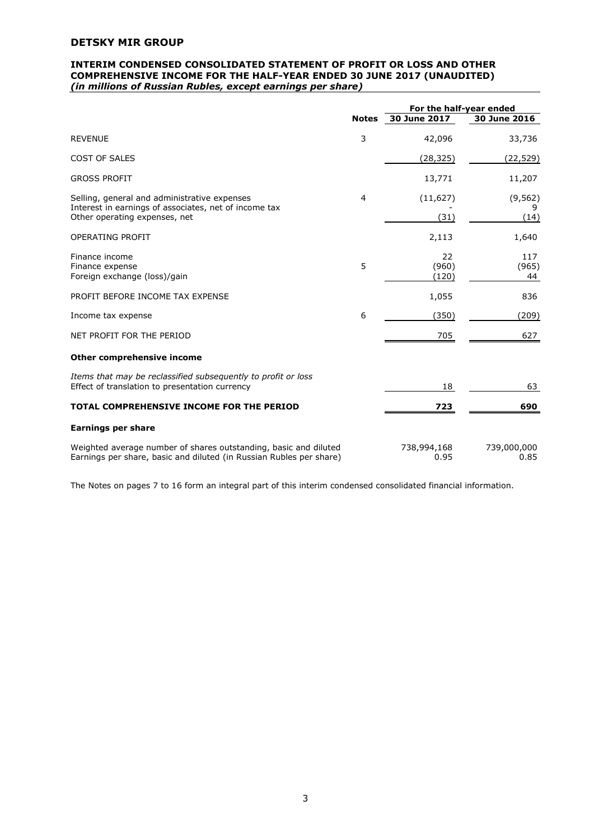#### **INTERIM CONDENSED CONSOLIDATED STATEMENT OF PROFIT OR LOSS AND OTHER COMPREHENSIVE INCOME FOR THE HALF-YEAR ENDED 30 JUNE 2017 (UNAUDITED)**  *(in millions of Russian Rubles, except earnings per share)*

|                                                                                                                                         |   | For the half-year ended |                       |
|-----------------------------------------------------------------------------------------------------------------------------------------|---|-------------------------|-----------------------|
|                                                                                                                                         |   | Notes 30 June 2017      | 30 June 2016          |
| <b>REVENUE</b>                                                                                                                          | 3 | 42,096                  | 33,736                |
| <b>COST OF SALES</b>                                                                                                                    |   | (28,325)                | (22,529)              |
| <b>GROSS PROFIT</b>                                                                                                                     |   | 13,771                  | 11,207                |
| Selling, general and administrative expenses<br>Interest in earnings of associates, net of income tax<br>Other operating expenses, net  | 4 | (11, 627)<br>(31)       | (9, 562)<br>9<br>(14) |
| <b>OPERATING PROFIT</b>                                                                                                                 |   | 2,113                   | 1,640                 |
| Finance income<br>Finance expense<br>Foreign exchange (loss)/gain                                                                       | 5 | 22<br>(960)<br>(120)    | 117<br>(965)<br>44    |
| PROFIT BEFORE INCOME TAX EXPENSE                                                                                                        |   | 1,055                   | 836                   |
| Income tax expense                                                                                                                      | 6 | (350)                   | (209)                 |
| NET PROFIT FOR THE PERIOD                                                                                                               |   | 705                     | 627                   |
| Other comprehensive income                                                                                                              |   |                         |                       |
| Items that may be reclassified subsequently to profit or loss<br>Effect of translation to presentation currency                         |   | 18                      | 63                    |
| TOTAL COMPREHENSIVE INCOME FOR THE PERIOD                                                                                               |   | 723                     | 690                   |
| <b>Earnings per share</b>                                                                                                               |   |                         |                       |
| Weighted average number of shares outstanding, basic and diluted<br>Earnings per share, basic and diluted (in Russian Rubles per share) |   | 738,994,168<br>0.95     | 739,000,000<br>0.85   |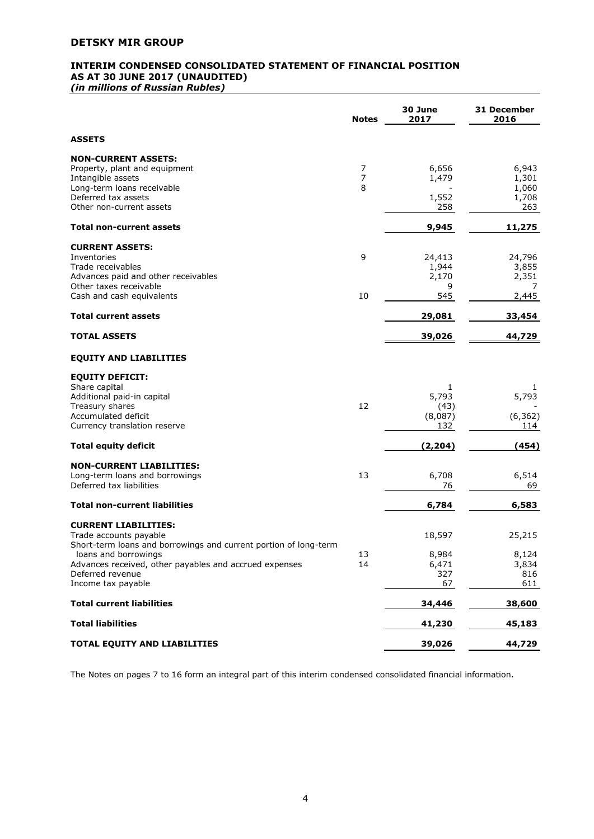# **INTERIM CONDENSED CONSOLIDATED STATEMENT OF FINANCIAL POSITION AS AT 30 JUNE 2017 (UNAUDITED)**

*(in millions of Russian Rubles)* 

|                                                                            | <b>Notes</b>   | 30 June<br>2017 | 31 December<br>2016 |
|----------------------------------------------------------------------------|----------------|-----------------|---------------------|
| <b>ASSETS</b>                                                              |                |                 |                     |
| <b>NON-CURRENT ASSETS:</b>                                                 |                |                 |                     |
| Property, plant and equipment                                              | 7              | 6,656           | 6,943               |
| Intangible assets                                                          | $\overline{7}$ | 1,479           | 1,301               |
| Long-term loans receivable                                                 | 8              |                 | 1,060               |
| Deferred tax assets                                                        |                | 1,552           | 1,708               |
| Other non-current assets                                                   |                | 258             | 263                 |
| Total non-current assets                                                   |                | 9,945           | 11,275              |
| <b>CURRENT ASSETS:</b>                                                     |                |                 |                     |
| Inventories                                                                | 9              | 24,413          | 24,796              |
| Trade receivables                                                          |                | 1,944           | 3,855               |
| Advances paid and other receivables                                        |                | 2,170           | 2,351               |
| Other taxes receivable<br>Cash and cash equivalents                        | 10             | 9<br>545        | 7<br>2,445          |
|                                                                            |                |                 |                     |
| <b>Total current assets</b>                                                |                | 29,081          | 33,454              |
| <b>TOTAL ASSETS</b>                                                        |                | 39,026          | 44,729              |
| <b>EQUITY AND LIABILITIES</b>                                              |                |                 |                     |
| <b>EQUITY DEFICIT:</b>                                                     |                |                 |                     |
| Share capital                                                              |                | $\mathbf{1}$    | 1                   |
| Additional paid-in capital                                                 |                | 5,793           | 5,793               |
| Treasury shares                                                            | 12             | (43)            |                     |
| Accumulated deficit                                                        |                | (8,087)         | (6, 362)            |
| Currency translation reserve                                               |                | 132             | 114                 |
| <b>Total equity deficit</b>                                                |                | (2,204)         | (454)               |
| <b>NON-CURRENT LIABILITIES:</b>                                            |                |                 |                     |
| Long-term loans and borrowings                                             | 13             | 6,708           | 6,514               |
| Deferred tax liabilities                                                   |                | 76              | 69                  |
| <b>Total non-current liabilities</b>                                       |                | 6,784           | 6,583               |
| <b>CURRENT LIABILITIES:</b>                                                |                |                 |                     |
| Trade accounts payable                                                     |                | 18,597          | 25,215              |
| Short-term loans and borrowings and current portion of long-term           |                |                 |                     |
| loans and borrowings                                                       | 13             | 8,984           | 8,124               |
| Advances received, other payables and accrued expenses<br>Deferred revenue | 14             | 6,471           | 3,834               |
| Income tax payable                                                         |                | 327<br>67       | 816<br>611          |
|                                                                            |                |                 |                     |
| <b>Total current liabilities</b>                                           |                | 34,446          | 38,600              |
| <b>Total liabilities</b>                                                   |                | 41,230          | 45,183              |
| TOTAL EQUITY AND LIABILITIES                                               |                | 39,026          | 44,729              |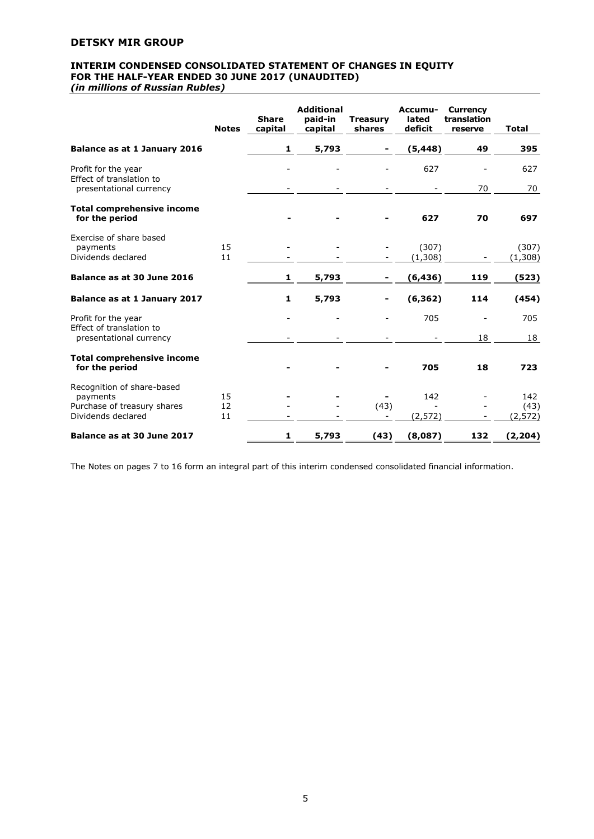# **INTERIM CONDENSED CONSOLIDATED STATEMENT OF CHANGES IN EQUITY FOR THE HALF-YEAR ENDED 30 JUNE 2017 (UNAUDITED)**

*(in millions of Russian Rubles)* 

|                                                           | <b>Notes</b> | <b>Share</b><br>capital | <b>Additional</b><br>paid-in<br>capital | <b>Treasury</b><br>shares | Accumu-<br>lated<br>deficit | <b>Currency</b><br>translation<br>reserve | <b>Total</b>     |
|-----------------------------------------------------------|--------------|-------------------------|-----------------------------------------|---------------------------|-----------------------------|-------------------------------------------|------------------|
| <b>Balance as at 1 January 2016</b>                       |              | 1                       | 5,793                                   |                           | (5, 448)                    | 49                                        | 395              |
| Profit for the year<br>Effect of translation to           |              |                         |                                         |                           | 627                         |                                           | 627              |
| presentational currency                                   |              |                         |                                         |                           |                             | 70                                        | 70               |
| <b>Total comprehensive income</b><br>for the period       |              |                         |                                         |                           | 627                         | 70                                        | 697              |
| Exercise of share based<br>payments<br>Dividends declared | 15<br>11     |                         |                                         |                           | (307)<br>(1,308)            |                                           | (307)<br>(1,308) |
| Balance as at 30 June 2016                                |              | $\mathbf{1}$            | 5,793                                   |                           | (6, 436)                    | 119                                       | (523)            |
| <b>Balance as at 1 January 2017</b>                       |              | $\mathbf{1}$            | 5,793                                   |                           | (6, 362)                    | 114                                       | (454)            |
| Profit for the year<br>Effect of translation to           |              |                         |                                         |                           | 705                         |                                           | 705              |
| presentational currency                                   |              |                         |                                         |                           |                             | 18                                        | 18               |
| <b>Total comprehensive income</b>                         |              |                         |                                         |                           |                             |                                           |                  |
| for the period                                            |              |                         |                                         |                           | 705                         | 18                                        | 723              |
| Recognition of share-based<br>payments                    | 15           |                         |                                         |                           | 142                         |                                           | 142              |
| Purchase of treasury shares                               | 12           |                         |                                         | (43)                      |                             |                                           | (43)             |
| Dividends declared                                        | 11           |                         |                                         |                           | (2, 572)                    |                                           | (2,572)          |
| Balance as at 30 June 2017                                |              | 1                       | 5,793                                   | (43)                      | (8,087)                     | 132                                       | (2, 204)         |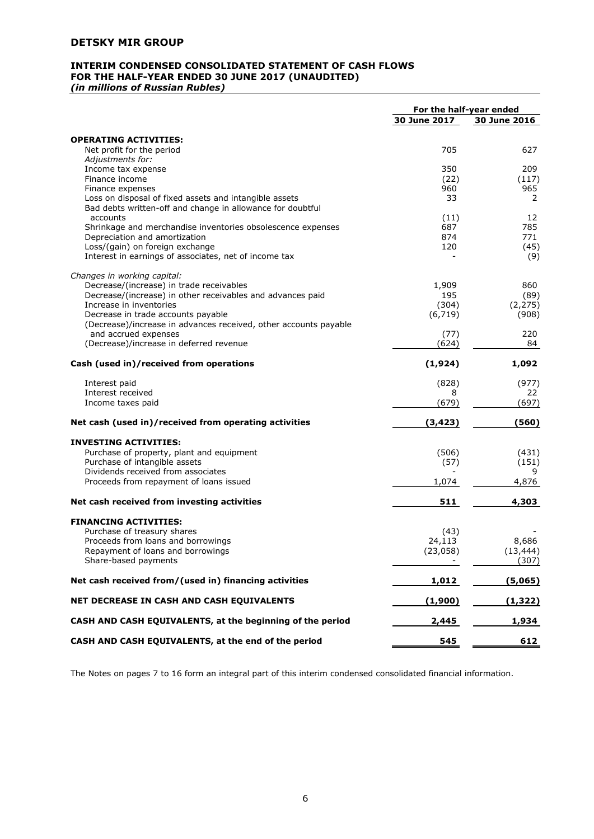# **INTERIM CONDENSED CONSOLIDATED STATEMENT OF CASH FLOWS FOR THE HALF-YEAR ENDED 30 JUNE 2017 (UNAUDITED)**

*(in millions of Russian Rubles)* 

|                                                                                                                      | For the half-year ended |              |
|----------------------------------------------------------------------------------------------------------------------|-------------------------|--------------|
|                                                                                                                      | 30 June 2017            | 30 June 2016 |
| <b>OPERATING ACTIVITIES:</b>                                                                                         |                         |              |
| Net profit for the period                                                                                            | 705                     | 627          |
| Adjustments for:                                                                                                     |                         |              |
| Income tax expense                                                                                                   | 350                     | 209          |
| Finance income                                                                                                       | (22)                    | (117)        |
| Finance expenses                                                                                                     | 960                     | 965          |
| Loss on disposal of fixed assets and intangible assets<br>Bad debts written-off and change in allowance for doubtful | 33                      | 2            |
| accounts                                                                                                             | (11)                    | 12           |
| Shrinkage and merchandise inventories obsolescence expenses                                                          | 687                     | 785          |
| Depreciation and amortization                                                                                        | 874                     | 771          |
| Loss/(gain) on foreign exchange<br>Interest in earnings of associates, net of income tax                             | 120                     | (45)<br>(9)  |
|                                                                                                                      |                         |              |
| Changes in working capital:                                                                                          |                         |              |
| Decrease/(increase) in trade receivables                                                                             | 1,909                   | 860          |
| Decrease/(increase) in other receivables and advances paid                                                           | 195                     | (89)         |
| Increase in inventories                                                                                              | (304)                   | (2, 275)     |
| Decrease in trade accounts payable                                                                                   | (6, 719)                | (908)        |
| (Decrease)/increase in advances received, other accounts payable                                                     |                         |              |
| and accrued expenses<br>(Decrease)/increase in deferred revenue                                                      | (77)                    | 220<br>84    |
|                                                                                                                      | (624)                   |              |
| Cash (used in)/received from operations                                                                              | (1, 924)                | 1,092        |
| Interest paid                                                                                                        | (828)                   | (977)        |
| Interest received                                                                                                    | 8                       | 22           |
| Income taxes paid                                                                                                    | (679)                   | (697)        |
| Net cash (used in)/received from operating activities                                                                | (3, 423)                | (560)        |
| <b>INVESTING ACTIVITIES:</b>                                                                                         |                         |              |
| Purchase of property, plant and equipment                                                                            | (506)                   | (431)        |
| Purchase of intangible assets                                                                                        | (57)                    | (151)        |
| Dividends received from associates                                                                                   |                         | 9            |
| Proceeds from repayment of loans issued                                                                              | 1,074                   | 4,876        |
| Net cash received from investing activities                                                                          | 511                     | 4,303        |
| <b>FINANCING ACTIVITIES:</b>                                                                                         |                         |              |
| Purchase of treasury shares                                                                                          | (43)                    |              |
| Proceeds from loans and borrowings                                                                                   | 24,113                  | 8,686        |
| Repayment of loans and borrowings                                                                                    | (23,058)                | (13, 444)    |
| Share-based payments                                                                                                 |                         | (307)        |
| Net cash received from/(used in) financing activities                                                                | 1,012                   | (5,065)      |
| NET DECREASE IN CASH AND CASH EQUIVALENTS                                                                            | (1,900)                 | (1, 322)     |
| CASH AND CASH EQUIVALENTS, at the beginning of the period                                                            | 2,445                   | 1,934        |
| CASH AND CASH EQUIVALENTS, at the end of the period                                                                  | 545                     | 612          |
|                                                                                                                      |                         |              |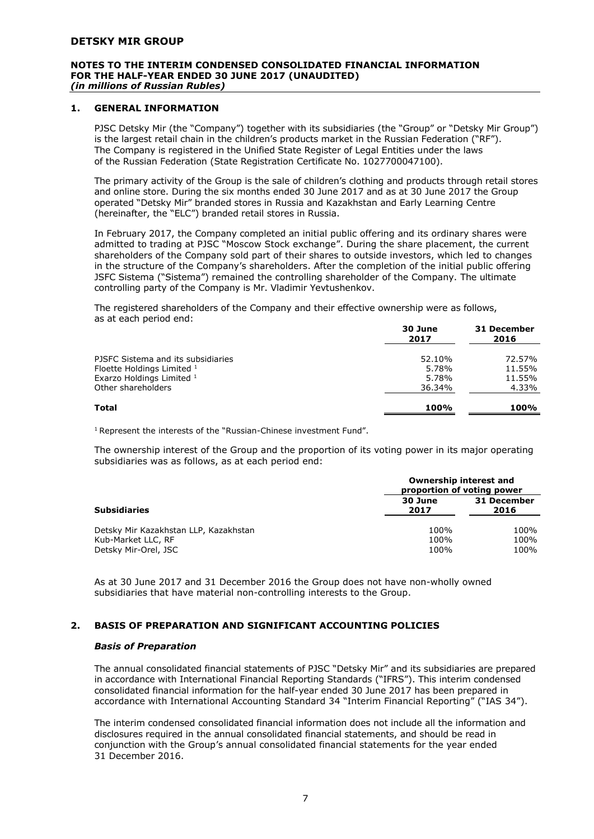#### **NOTES TO THE INTERIM CONDENSED CONSOLIDATED FINANCIAL INFORMATION FOR THE HALF-YEAR ENDED 30 JUNE 2017 (UNAUDITED)**  *(in millions of Russian Rubles)*

# **1. GENERAL INFORMATION**

PJSC Detsky Mir (the "Company") together with its subsidiaries (the "Group" or "Detsky Mir Group") is the largest retail chain in the children's products market in the Russian Federation ("RF"). The Company is registered in the Unified State Register of Legal Entities under the laws of the Russian Federation (State Registration Certificate No. 1027700047100).

The primary activity of the Group is the sale of children's clothing and products through retail stores and online store. During the six months ended 30 June 2017 and as at 30 June 2017 the Group operated "Detsky Mir" branded stores in Russia and Kazakhstan and Early Learning Centre (hereinafter, the "ELC") branded retail stores in Russia.

In February 2017, the Company completed an initial public offering and its ordinary shares were admitted to trading at PJSC "Moscow Stock exchange". During the share placement, the current shareholders of the Company sold part of their shares to outside investors, which led to changes in the structure of the Company's shareholders. After the completion of the initial public offering JSFC Sistema ("Sistema") remained the controlling shareholder of the Company. The ultimate controlling party of the Company is Mr. Vladimir Yevtushenkov.

The registered shareholders of the Company and their effective ownership were as follows, as at each period end:

|                                    | 30 June<br>2017 | 31 December<br>2016 |
|------------------------------------|-----------------|---------------------|
| PJSFC Sistema and its subsidiaries | 52.10%          | 72.57%              |
| Floette Holdings Limited 1         | 5.78%           | 11.55%              |
| Exarzo Holdings Limited 1          | 5.78%           | 11.55%              |
| Other shareholders                 | 36.34%          | 4.33%               |
| Total                              | 100%            | 100%                |

<sup>1</sup> Represent the interests of the "Russian-Chinese investment Fund".

The ownership interest of the Group and the proportion of its voting power in its major operating subsidiaries was as follows, as at each period end:

|                                                                                     | Ownership interest and<br>proportion of voting power |                      |
|-------------------------------------------------------------------------------------|------------------------------------------------------|----------------------|
| <b>Subsidiaries</b>                                                                 | 30 June<br>2017                                      | 31 December<br>2016  |
| Detsky Mir Kazakhstan LLP, Kazakhstan<br>Kub-Market LLC, RF<br>Detsky Mir-Orel, JSC | 100%<br>100%<br>100%                                 | 100%<br>100%<br>100% |

As at 30 June 2017 and 31 December 2016 the Group does not have non-wholly owned subsidiaries that have material non-controlling interests to the Group.

# **2. BASIS OF PREPARATION AND SIGNIFICANT ACCOUNTING POLICIES**

#### *Basis of Preparation*

The annual consolidated financial statements of PJSC "Detsky Mir" and its subsidiaries are prepared in accordance with International Financial Reporting Standards ("IFRS"). This interim condensed consolidated financial information for the half-year ended 30 June 2017 has been prepared in accordance with International Accounting Standard 34 "Interim Financial Reporting" ("IAS 34").

The interim condensed consolidated financial information does not include all the information and disclosures required in the annual consolidated financial statements, and should be read in conjunction with the Group's annual consolidated financial statements for the year ended 31 December 2016.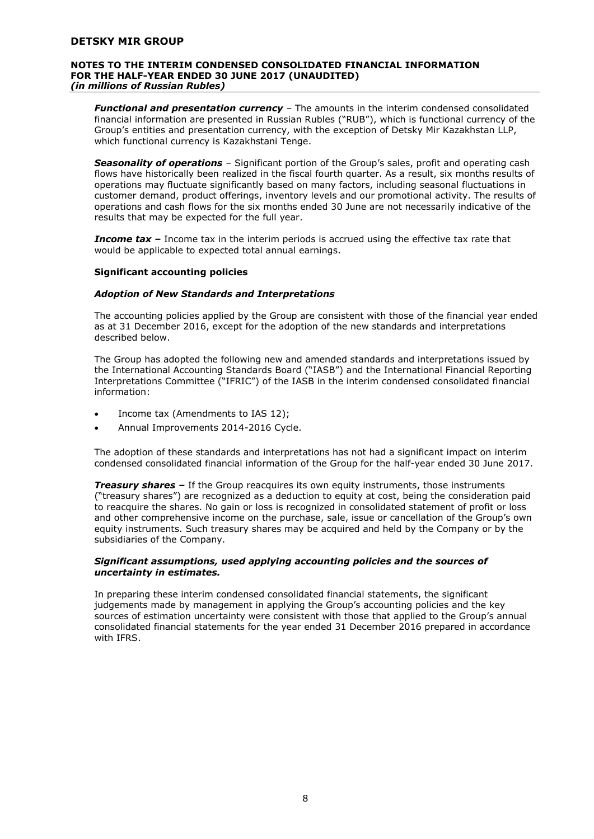#### **NOTES TO THE INTERIM CONDENSED CONSOLIDATED FINANCIAL INFORMATION FOR THE HALF-YEAR ENDED 30 JUNE 2017 (UNAUDITED)** *(in millions of Russian Rubles)*

*Functional and presentation currency* – The amounts in the interim condensed consolidated financial information are presented in Russian Rubles ("RUB"), which is functional currency of the Group's entities and presentation currency, with the exception of Detsky Mir Kazakhstan LLP, which functional currency is Kazakhstani Tenge.

*Seasonality of operations* – Significant portion of the Group's sales, profit and operating cash flows have historically been realized in the fiscal fourth quarter. As a result, six months results of operations may fluctuate significantly based on many factors, including seasonal fluctuations in customer demand, product offerings, inventory levels and our promotional activity. The results of operations and cash flows for the six months ended 30 June are not necessarily indicative of the results that may be expected for the full year.

**Income tax** – Income tax in the interim periods is accrued using the effective tax rate that would be applicable to expected total annual earnings.

#### **Significant accounting policies**

#### *Adoption of New Standards and Interpretations*

The accounting policies applied by the Group are consistent with those of the financial year ended as at 31 December 2016, except for the adoption of the new standards and interpretations described below.

The Group has adopted the following new and amended standards and interpretations issued by the International Accounting Standards Board ("IASB") and the International Financial Reporting Interpretations Committee ("IFRIC") of the IASB in the interim condensed consolidated financial information:

- Income tax (Amendments to IAS 12);
- Annual Improvements 2014-2016 Cycle.

The adoption of these standards and interpretations has not had a significant impact on interim condensed consolidated financial information of the Group for the half-year ended 30 June 2017.

*Treasury shares –* If the Group reacquires its own equity instruments, those instruments ("treasury shares") are recognized as a deduction to equity at cost, being the consideration paid to reacquire the shares. No gain or loss is recognized in consolidated statement of profit or loss and other comprehensive income on the purchase, sale, issue or cancellation of the Group's own equity instruments. Such treasury shares may be acquired and held by the Company or by the subsidiaries of the Company.

#### *Significant assumptions, used applying accounting policies and the sources of uncertainty in estimates.*

In preparing these interim condensed consolidated financial statements, the significant judgements made by management in applying the Group's accounting policies and the key sources of estimation uncertainty were consistent with those that applied to the Group's annual consolidated financial statements for the year ended 31 December 2016 prepared in accordance with IFRS.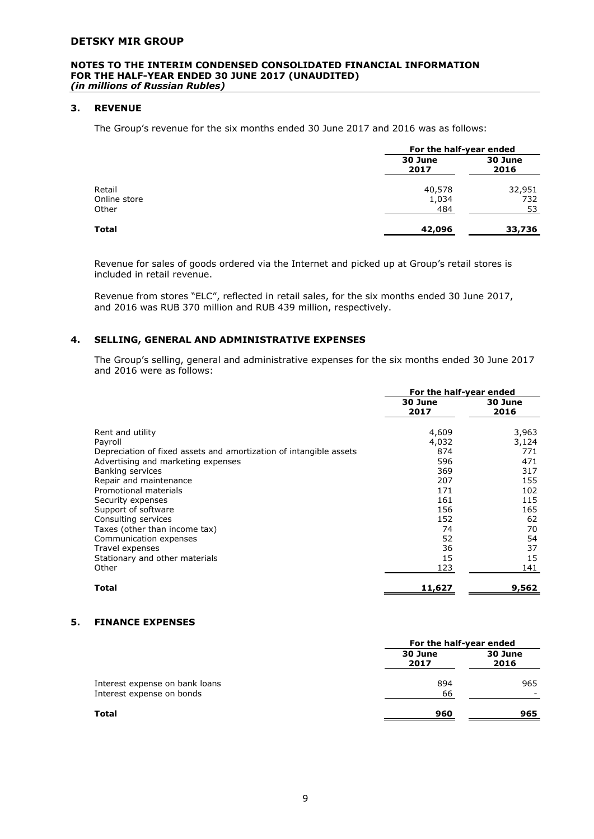#### **NOTES TO THE INTERIM CONDENSED CONSOLIDATED FINANCIAL INFORMATION FOR THE HALF-YEAR ENDED 30 JUNE 2017 (UNAUDITED)**  *(in millions of Russian Rubles)*

# **3. REVENUE**

The Group's revenue for the six months ended 30 June 2017 and 2016 was as follows:

|                        |                 | For the half-year ended |  |
|------------------------|-----------------|-------------------------|--|
|                        | 30 June<br>2017 | 30 June<br>2016         |  |
| Retail<br>Online store | 40,578<br>1,034 | 32,951<br>732           |  |
| Other                  | 484             | 53                      |  |
| <b>Total</b>           | 42,096          | 33,736                  |  |

Revenue for sales of goods ordered via the Internet and picked up at Group's retail stores is included in retail revenue.

Revenue from stores "ELC", reflected in retail sales, for the six months ended 30 June 2017, and 2016 was RUB 370 million and RUB 439 million, respectively.

# **4. SELLING, GENERAL AND ADMINISTRATIVE EXPENSES**

The Group's selling, general and administrative expenses for the six months ended 30 June 2017 and 2016 were as follows:

|                                                                    | For the half-year ended |                 |
|--------------------------------------------------------------------|-------------------------|-----------------|
|                                                                    | 30 June<br>2017         | 30 June<br>2016 |
| Rent and utility                                                   | 4,609                   | 3,963           |
| Payroll                                                            | 4,032                   | 3,124           |
| Depreciation of fixed assets and amortization of intangible assets | 874                     | 771             |
| Advertising and marketing expenses                                 | 596                     | 471             |
| Banking services                                                   | 369                     | 317             |
| Repair and maintenance                                             | 207                     | 155             |
| Promotional materials                                              | 171                     | 102             |
| Security expenses                                                  | 161                     | 115             |
| Support of software                                                | 156                     | 165             |
| Consulting services                                                | 152                     | 62              |
| Taxes (other than income tax)                                      | 74                      | 70              |
| Communication expenses                                             | 52                      | 54              |
| Travel expenses                                                    | 36                      | 37              |
| Stationary and other materials                                     | 15                      | 15              |
| Other                                                              | 123                     | 141             |
| Total                                                              | 11,627                  | 9,562           |

# **5. FINANCE EXPENSES**

|                                                             |                 | For the half-year ended |  |
|-------------------------------------------------------------|-----------------|-------------------------|--|
|                                                             | 30 June<br>2017 | 30 June<br>2016         |  |
| Interest expense on bank loans<br>Interest expense on bonds | 894<br>66       | 965                     |  |
| <b>Total</b>                                                | 960             | 965                     |  |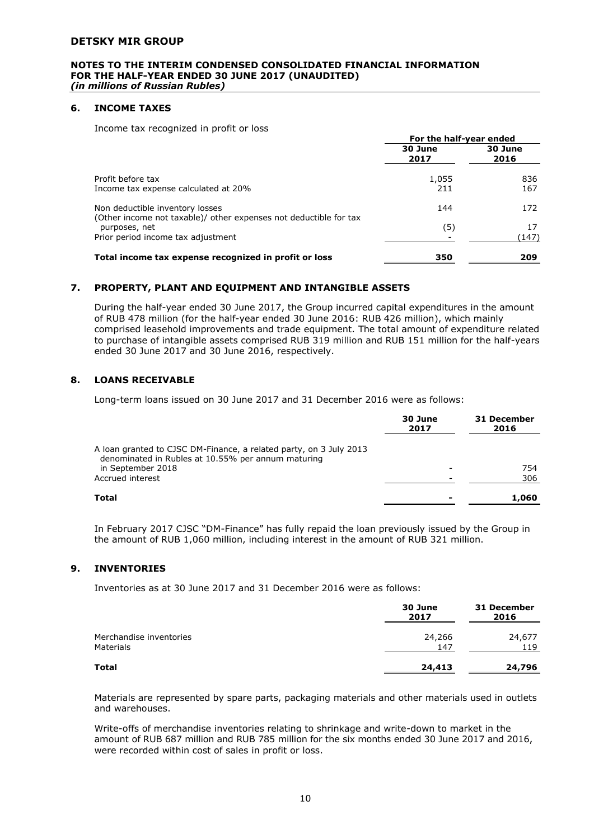#### **NOTES TO THE INTERIM CONDENSED CONSOLIDATED FINANCIAL INFORMATION FOR THE HALF-YEAR ENDED 30 JUNE 2017 (UNAUDITED)** *(in millions of Russian Rubles)*

# **6. INCOME TAXES**

Income tax recognized in profit or loss

|                                                                                                      | For the half-year ended |                 |
|------------------------------------------------------------------------------------------------------|-------------------------|-----------------|
|                                                                                                      | 30 June<br>2017         | 30 June<br>2016 |
| Profit before tax<br>Income tax expense calculated at 20%                                            | 1,055<br>211            | 836<br>167      |
| Non deductible inventory losses<br>(Other income not taxable)/ other expenses not deductible for tax | 144                     | 172             |
| purposes, net<br>Prior period income tax adjustment                                                  | (5)                     | 17<br>(147)     |
| Total income tax expense recognized in profit or loss                                                | 350                     | 209             |

# **7. PROPERTY, PLANT AND EQUIPMENT AND INTANGIBLE ASSETS**

During the half-year ended 30 June 2017, the Group incurred capital expenditures in the amount of RUB 478 million (for the half-year ended 30 June 2016: RUB 426 million), which mainly comprised leasehold improvements and trade equipment. The total amount of expenditure related to purchase of intangible assets comprised RUB 319 million and RUB 151 million for the half-years ended 30 June 2017 and 30 June 2016, respectively.

# **8. LOANS RECEIVABLE**

Long-term loans issued on 30 June 2017 and 31 December 2016 were as follows:

|                                                                                                                          | 30 June<br>2017 | 31 December<br>2016 |
|--------------------------------------------------------------------------------------------------------------------------|-----------------|---------------------|
| A loan granted to CJSC DM-Finance, a related party, on 3 July 2013<br>denominated in Rubles at 10.55% per annum maturing |                 |                     |
| in September 2018                                                                                                        |                 | 754                 |
| Accrued interest                                                                                                         |                 | 306                 |
| Total                                                                                                                    |                 | 1,060               |

In February 2017 CJSC "DM-Finance" has fully repaid the loan previously issued by the Group in the amount of RUB 1,060 million, including interest in the amount of RUB 321 million.

# **9. INVENTORIES**

Inventories as at 30 June 2017 and 31 December 2016 were as follows:

|                                             | 30 June<br>2017 | 31 December<br>2016 |
|---------------------------------------------|-----------------|---------------------|
| Merchandise inventories<br><b>Materials</b> | 24,266<br>147   | 24,677<br>119       |
| <b>Total</b>                                | 24,413          | 24,796              |

Materials are represented by spare parts, packaging materials and other materials used in outlets and warehouses.

Write-offs of merchandise inventories relating to shrinkage and write-down to market in the amount of RUB 687 million and RUB 785 million for the six months ended 30 June 2017 and 2016, were recorded within cost of sales in profit or loss.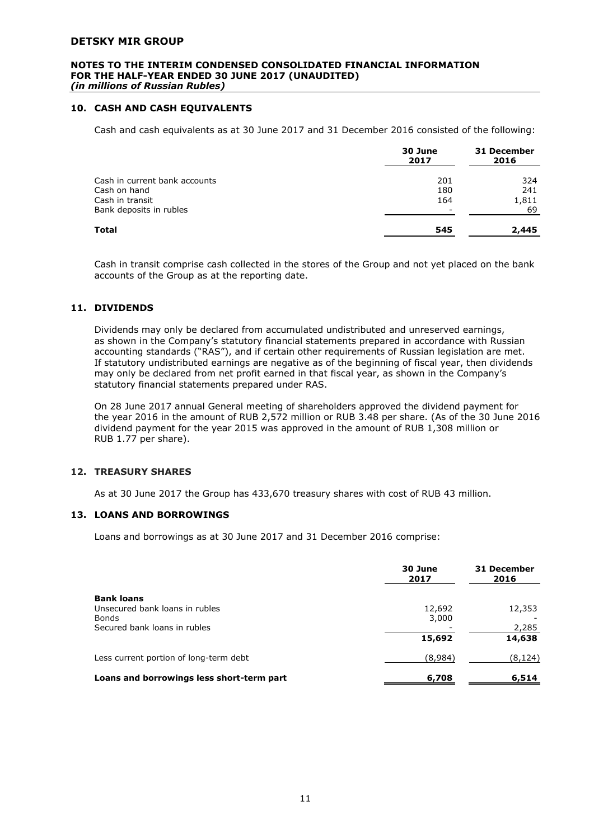#### **NOTES TO THE INTERIM CONDENSED CONSOLIDATED FINANCIAL INFORMATION FOR THE HALF-YEAR ENDED 30 JUNE 2017 (UNAUDITED)**  *(in millions of Russian Rubles)*

# **10. CASH AND CASH EQUIVALENTS**

Cash and cash equivalents as at 30 June 2017 and 31 December 2016 consisted of the following:

|                               | 30 June<br>2017 | 31 December<br>2016 |
|-------------------------------|-----------------|---------------------|
| Cash in current bank accounts | 201             | 324                 |
| Cash on hand                  | 180             | 241                 |
| Cash in transit               | 164             | 1,811               |
| Bank deposits in rubles       | -               | 69                  |
| Total                         | 545             | 2,445               |

Cash in transit comprise cash collected in the stores of the Group and not yet placed on the bank accounts of the Group as at the reporting date.

# **11. DIVIDENDS**

Dividends may only be declared from accumulated undistributed and unreserved earnings, as shown in the Company's statutory financial statements prepared in accordance with Russian accounting standards ("RAS"), and if certain other requirements of Russian legislation are met. If statutory undistributed earnings are negative as of the beginning of fiscal year, then dividends may only be declared from net profit earned in that fiscal year, as shown in the Company's statutory financial statements prepared under RAS.

On 28 June 2017 annual General meeting of shareholders approved the dividend payment for the year 2016 in the amount of RUB 2,572 million or RUB 3.48 per share. (As of the 30 June 2016 dividend payment for the year 2015 was approved in the amount of RUB 1,308 million or RUB 1.77 per share).

# **12. TREASURY SHARES**

As at 30 June 2017 the Group has 433,670 treasury shares with cost of RUB 43 million.

# **13. LOANS AND BORROWINGS**

Loans and borrowings as at 30 June 2017 and 31 December 2016 comprise:

|                                           | 30 June<br>2017 | 31 December<br>2016 |
|-------------------------------------------|-----------------|---------------------|
| <b>Bank loans</b>                         |                 |                     |
| Unsecured bank loans in rubles            | 12,692          | 12,353              |
| <b>Bonds</b>                              | 3,000           |                     |
| Secured bank loans in rubles              |                 | 2,285               |
|                                           | 15,692          | 14,638              |
| Less current portion of long-term debt    | (8,984)         | (8, 124)            |
| Loans and borrowings less short-term part | 6,708           | 6,514               |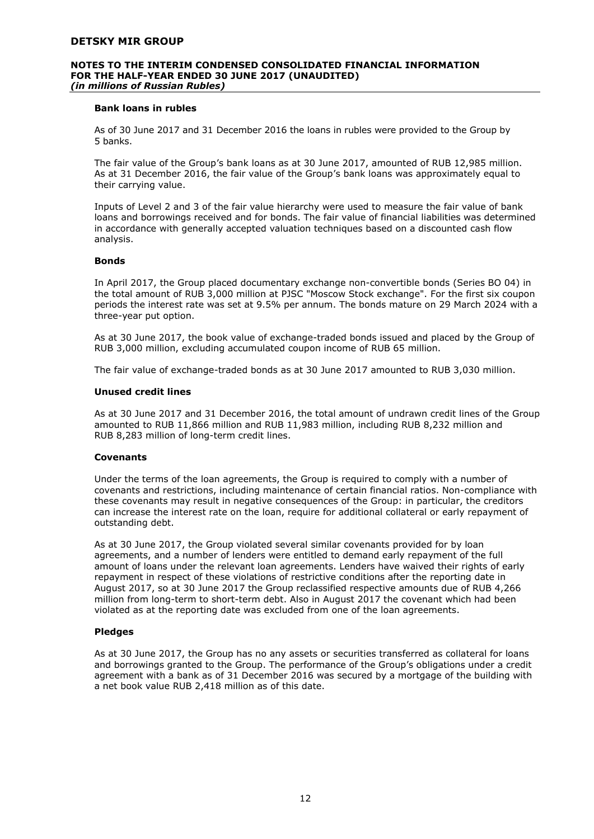#### **NOTES TO THE INTERIM CONDENSED CONSOLIDATED FINANCIAL INFORMATION FOR THE HALF-YEAR ENDED 30 JUNE 2017 (UNAUDITED)**  *(in millions of Russian Rubles)*

#### **Bank loans in rubles**

As of 30 June 2017 and 31 December 2016 the loans in rubles were provided to the Group by 5 banks.

The fair value of the Group's bank loans as at 30 June 2017, amounted of RUB 12,985 million. As at 31 December 2016, the fair value of the Group's bank loans was approximately equal to their carrying value.

Inputs of Level 2 and 3 of the fair value hierarchy were used to measure the fair value of bank loans and borrowings received and for bonds. The fair value of financial liabilities was determined in accordance with generally accepted valuation techniques based on a discounted cash flow analysis.

#### **Bonds**

In April 2017, the Group placed documentary exchange non-convertible bonds (Series BO 04) in the total amount of RUB 3,000 million at PJSC "Moscow Stock exchange". For the first six coupon periods the interest rate was set at 9.5% per annum. The bonds mature on 29 March 2024 with a three-year put option.

As at 30 June 2017, the book value of exchange-traded bonds issued and placed by the Group of RUB 3,000 million, excluding accumulated coupon income of RUB 65 million.

The fair value of exchange-traded bonds as at 30 June 2017 amounted to RUB 3,030 million.

#### **Unused credit lines**

As at 30 June 2017 and 31 December 2016, the total amount of undrawn credit lines of the Group amounted to RUB 11,866 million and RUB 11,983 million, including RUB 8,232 million and RUB 8,283 million of long-term credit lines.

#### **Covenants**

Under the terms of the loan agreements, the Group is required to comply with a number of covenants and restrictions, including maintenance of certain financial ratios. Non-compliance with these covenants may result in negative consequences of the Group: in particular, the creditors can increase the interest rate on the loan, require for additional collateral or early repayment of outstanding debt.

As at 30 June 2017, the Group violated several similar covenants provided for by loan agreements, and a number of lenders were entitled to demand early repayment of the full amount of loans under the relevant loan agreements. Lenders have waived their rights of early repayment in respect of these violations of restrictive conditions after the reporting date in August 2017, so at 30 June 2017 the Group reclassified respective amounts due of RUB 4,266 million from long-term to short-term debt. Also in August 2017 the covenant which had been violated as at the reporting date was excluded from one of the loan agreements.

#### **Pledges**

As at 30 June 2017, the Group has no any assets or securities transferred as collateral for loans and borrowings granted to the Group. The performance of the Group's obligations under a credit agreement with a bank as of 31 December 2016 was secured by a mortgage of the building with a net book value RUB 2,418 million as of this date.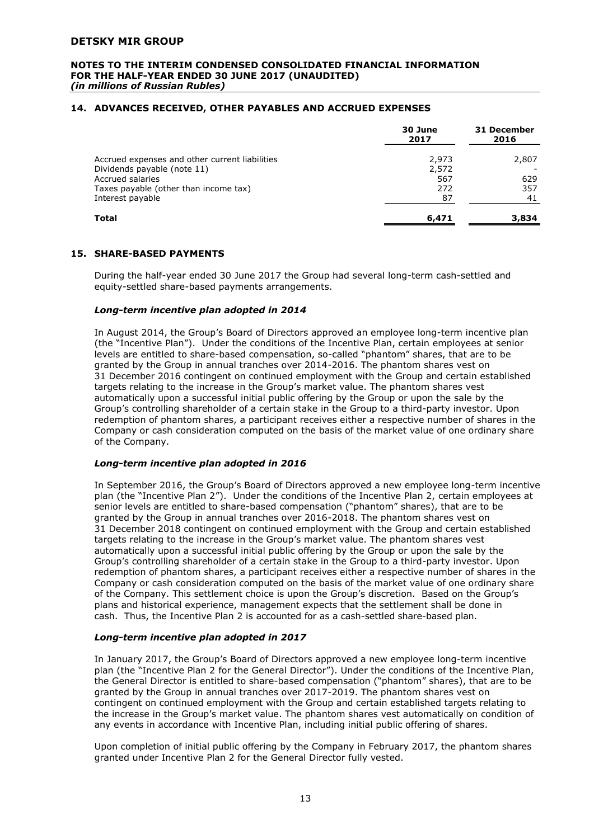#### **NOTES TO THE INTERIM CONDENSED CONSOLIDATED FINANCIAL INFORMATION FOR THE HALF-YEAR ENDED 30 JUNE 2017 (UNAUDITED)** *(in millions of Russian Rubles)*

# **14. ADVANCES RECEIVED, OTHER PAYABLES AND ACCRUED EXPENSES**

|                                                | 30 June<br>2017 | 31 December<br>2016 |
|------------------------------------------------|-----------------|---------------------|
| Accrued expenses and other current liabilities | 2,973           | 2,807               |
| Dividends payable (note 11)                    | 2,572           |                     |
| Accrued salaries                               | 567             | 629                 |
| Taxes payable (other than income tax)          | 272             | 357                 |
| Interest payable                               | 87              | 41                  |
| Total                                          | 6,471           | 3,834               |

# **15. SHARE-BASED PAYMENTS**

During the half-year ended 30 June 2017 the Group had several long-term cash-settled and equity-settled share-based payments arrangements.

#### *Long-term incentive plan adopted in 2014*

In August 2014, the Group's Board of Directors approved an employee long-term incentive plan (the "Incentive Plan"). Under the conditions of the Incentive Plan, certain employees at senior levels are entitled to share-based compensation, so-called "phantom" shares, that are to be granted by the Group in annual tranches over 2014-2016. The phantom shares vest on 31 December 2016 contingent on continued employment with the Group and certain established targets relating to the increase in the Group's market value. The phantom shares vest automatically upon a successful initial public offering by the Group or upon the sale by the Group's controlling shareholder of a certain stake in the Group to a third-party investor. Upon redemption of phantom shares, a participant receives either a respective number of shares in the Company or cash consideration computed on the basis of the market value of one ordinary share of the Company.

#### *Long-term incentive plan adopted in 2016*

In September 2016, the Group's Board of Directors approved a new employee long-term incentive plan (the "Incentive Plan 2"). Under the conditions of the Incentive Plan 2, certain employees at senior levels are entitled to share-based compensation ("phantom" shares), that are to be granted by the Group in annual tranches over 2016-2018. The phantom shares vest on 31 December 2018 contingent on continued employment with the Group and certain established targets relating to the increase in the Group's market value. The phantom shares vest automatically upon a successful initial public offering by the Group or upon the sale by the Group's controlling shareholder of a certain stake in the Group to a third-party investor. Upon redemption of phantom shares, a participant receives either a respective number of shares in the Company or cash consideration computed on the basis of the market value of one ordinary share of the Company. This settlement choice is upon the Group's discretion. Based on the Group's plans and historical experience, management expects that the settlement shall be done in cash. Thus, the Incentive Plan 2 is accounted for as a cash-settled share-based plan.

#### *Long-term incentive plan adopted in 2017*

In January 2017, the Group's Board of Directors approved a new employee long-term incentive plan (the "Incentive Plan 2 for the General Director"). Under the conditions of the Incentive Plan, the General Director is entitled to share-based compensation ("phantom" shares), that are to be granted by the Group in annual tranches over 2017-2019. The phantom shares vest on contingent on continued employment with the Group and certain established targets relating to the increase in the Group's market value. The phantom shares vest automatically on condition of any events in accordance with Incentive Plan, including initial public offering of shares.

Upon completion of initial public offering by the Company in February 2017, the phantom shares granted under Incentive Plan 2 for the General Director fully vested.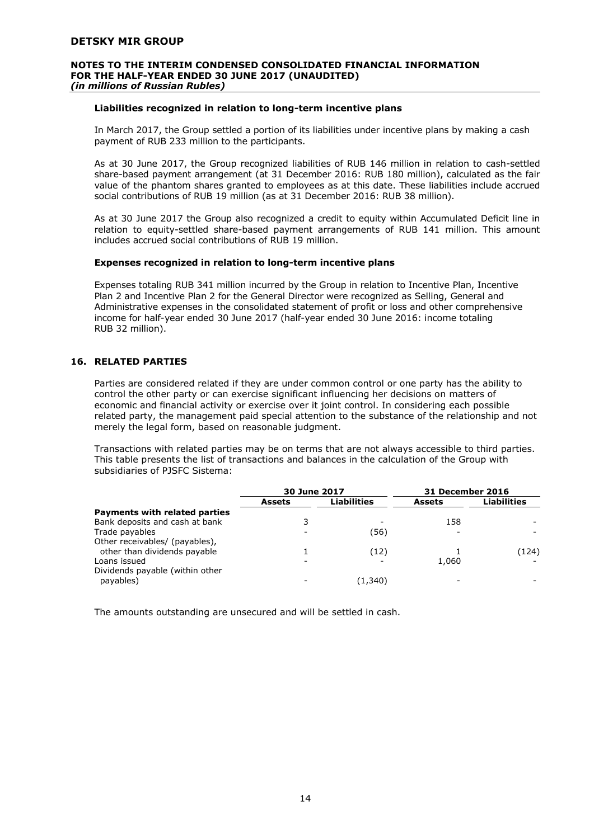#### **NOTES TO THE INTERIM CONDENSED CONSOLIDATED FINANCIAL INFORMATION FOR THE HALF-YEAR ENDED 30 JUNE 2017 (UNAUDITED)** *(in millions of Russian Rubles)*

# **Liabilities recognized in relation to long-term incentive plans**

In March 2017, the Group settled a portion of its liabilities under incentive plans by making a cash payment of RUB 233 million to the participants.

As at 30 June 2017, the Group recognized liabilities of RUB 146 million in relation to cash-settled share-based payment arrangement (at 31 December 2016: RUB 180 million), calculated as the fair value of the phantom shares granted to employees as at this date. These liabilities include accrued social contributions of RUB 19 million (as at 31 December 2016: RUB 38 million).

As at 30 June 2017 the Group also recognized a credit to equity within Accumulated Deficit line in relation to equity-settled share-based payment arrangements of RUB 141 million. This amount includes accrued social contributions of RUB 19 million.

#### **Expenses recognized in relation to long-term incentive plans**

Expenses totaling RUB 341 million incurred by the Group in relation to Incentive Plan, Incentive Plan 2 and Incentive Plan 2 for the General Director were recognized as Selling, General and Administrative expenses in the consolidated statement of profit or loss and other comprehensive income for half-year ended 30 June 2017 (half-year ended 30 June 2016: income totaling RUB 32 million).

# **16. RELATED PARTIES**

Parties are considered related if they are under common control or one party has the ability to control the other party or can exercise significant influencing her decisions on matters of economic and financial activity or exercise over it joint control. In considering each possible related party, the management paid special attention to the substance of the relationship and not merely the legal form, based on reasonable judgment.

Transactions with related parties may be on terms that are not always accessible to third parties. This table presents the list of transactions and balances in the calculation of the Group with subsidiaries of PJSFC Sistema:

|                                 | <b>30 June 2017</b> |                    | <b>31 December 2016</b> |                    |
|---------------------------------|---------------------|--------------------|-------------------------|--------------------|
|                                 | <b>Assets</b>       | <b>Liabilities</b> | Assets                  | <b>Liabilities</b> |
| Payments with related parties   |                     |                    |                         |                    |
| Bank deposits and cash at bank  |                     |                    | 158                     |                    |
| Trade payables                  |                     | (56)               |                         |                    |
| Other receivables/ (payables),  |                     |                    |                         |                    |
| other than dividends payable    |                     | (12)               |                         | (124)              |
| Loans issued                    |                     |                    | 1,060                   |                    |
| Dividends payable (within other |                     |                    |                         |                    |
| payables)                       |                     | (1,340)            |                         |                    |

The amounts outstanding are unsecured and will be settled in cash.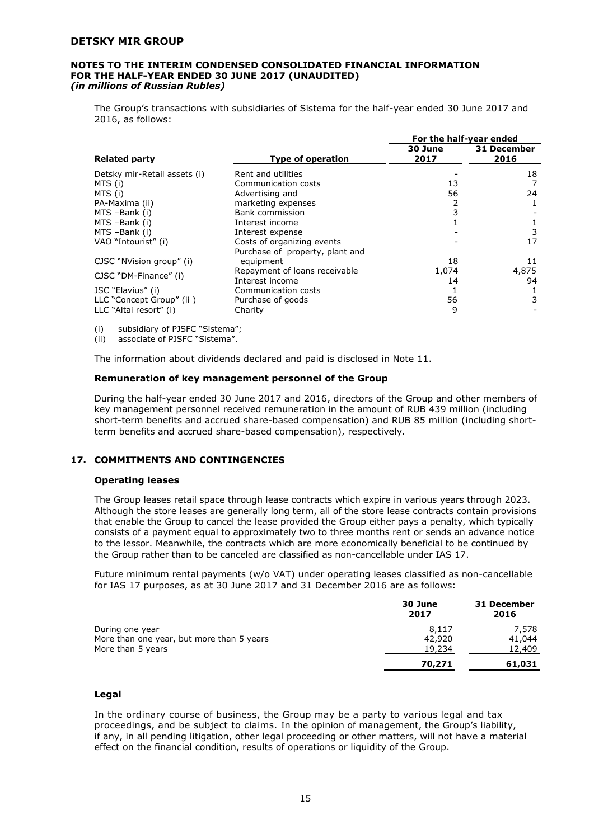#### **NOTES TO THE INTERIM CONDENSED CONSOLIDATED FINANCIAL INFORMATION FOR THE HALF-YEAR ENDED 30 JUNE 2017 (UNAUDITED)**  *(in millions of Russian Rubles)*

The Group's transactions with subsidiaries of Sistema for the half-year ended 30 June 2017 and 2016, as follows:

|                              |                                 | For the half-year ended |                     |
|------------------------------|---------------------------------|-------------------------|---------------------|
| <b>Related party</b>         | <b>Type of operation</b>        | 30 June<br>2017         | 31 December<br>2016 |
| Detsky mir-Retail assets (i) | Rent and utilities              |                         | 18                  |
| MTS (i)                      | Communication costs             | 13                      |                     |
| MTS (i)                      | Advertising and                 | 56                      | 24                  |
| PA-Maxima (ii)               | marketing expenses              |                         |                     |
| MTS -Bank (i)                | Bank commission                 | 3                       |                     |
| MTS -Bank (i)                | Interest income                 |                         |                     |
| MTS-Bank (i)                 | Interest expense                |                         | 3                   |
| VAO "Intourist" (i)          | Costs of organizing events      |                         | 17                  |
|                              | Purchase of property, plant and |                         |                     |
| CJSC "NVision group" (i)     | equipment                       | 18                      | 11                  |
| CJSC "DM-Finance" (i)        | Repayment of loans receivable   | 1,074                   | 4,875               |
|                              | Interest income                 | 14                      | 94                  |
| JSC "Elavius" (i)            | Communication costs             |                         |                     |
| LLC "Concept Group" (ii)     | Purchase of goods               | 56                      | 3                   |
| LLC "Altai resort" (i)       | Charity                         | 9                       |                     |

(i) subsidiary of PJSFC "Sistema";

(ii) associate of PJSFC "Sistema".

The information about dividends declared and paid is disclosed in Note 11.

#### **Remuneration of key management personnel of the Group**

During the half-year ended 30 June 2017 and 2016, directors of the Group and other members of key management personnel received remuneration in the amount of RUB 439 million (including short-term benefits and accrued share-based compensation) and RUB 85 million (including shortterm benefits and accrued share-based compensation), respectively.

# **17. COMMITMENTS AND CONTINGENCIES**

#### **Operating leases**

The Group leases retail space through lease contracts which expire in various years through 2023. Although the store leases are generally long term, all of the store lease contracts contain provisions that enable the Group to cancel the lease provided the Group either pays a penalty, which typically consists of a payment equal to approximately two to three months rent or sends an advance notice to the lessor. Meanwhile, the contracts which are more economically beneficial to be continued by the Group rather than to be canceled are classified as non-cancellable under IAS 17.

Future minimum rental payments (w/o VAT) under operating leases classified as non-cancellable for IAS 17 purposes, as at 30 June 2017 and 31 December 2016 are as follows:

|                                           | 30 June<br>2017 | 31 December<br>2016 |
|-------------------------------------------|-----------------|---------------------|
| During one year                           | 8.117           | 7.578               |
| More than one year, but more than 5 years | 42,920          | 41,044              |
| More than 5 years                         | 19,234          | 12,409              |
|                                           | 70,271          | 61,031              |

# **Legal**

In the ordinary course of business, the Group may be a party to various legal and tax proceedings, and be subject to claims. In the opinion of management, the Group's liability, if any, in all pending litigation, other legal proceeding or other matters, will not have a material effect on the financial condition, results of operations or liquidity of the Group.